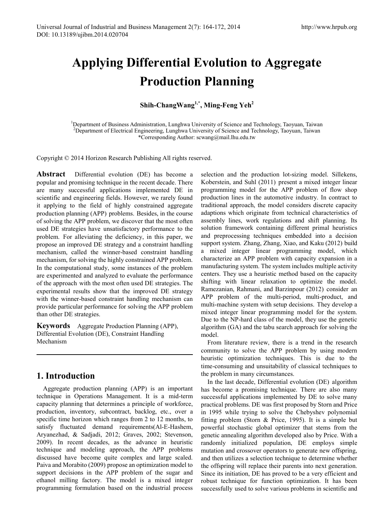# **Applying Differential Evolution to Aggregate Production Planning**

**Shih-ChangWang1,\*, Ming-Feng Yeh2**

<sup>1</sup>Department of Business Administration, Lunghwa University of Science and Technology, Taoyuan, Taiwan <sup>2</sup><br><sup>2</sup>Department of Electrical Engineering, Lunghwa University of Science and Technology, Taoyuan, Taiwan <sup>2</sup>Department of Electrical Engineering, Lunghwa University of Science and Technology, Taoyuan, Taiwan \*Corresponding Author: scwang@mail.lhu.edu.tw

Copyright © 2014 Horizon Research Publishing All rights reserved.

**Abstract** Differential evolution (DE) has become a popular and promising technique in the recent decade. There are many successful applications implemented DE in scientific and engineering fields. However, we rarely found it applying to the field of highly constrained aggregate production planning (APP) problems. Besides, in the course of solving the APP problem, we discover that the most often used DE strategies have unsatisfactory performance to the problem. For alleviating the deficiency, in this paper, we propose an improved DE strategy and a constraint handling mechanism, called the winner-based constraint handling mechanism, for solving the highly constrained APP problem. In the computational study, some instances of the problem are experimented and analyzed to evaluate the performance of the approach with the most often used DE strategies. The experimental results show that the improved DE strategy with the winner-based constraint handling mechanism can provide particular performance for solving the APP problem than other DE strategies.

**Keywords** Aggregate Production Planning (APP), Differential Evolution (DE), Constraint Handling Mechanism

# **1. Introduction**

Aggregate production planning (APP) is an important technique in Operations Management. It is a mid-term capacity planning that determines a principle of workforce, production, inventory, subcontract, backlog, etc., over a specific time horizon which ranges from 2 to 12 months, to satisfy fluctuated demand requirements(Al-E-Hashem, Aryanezhad, & Sadjadi, 2012; Graves, 2002; Stevenson, 2009). In recent decades, as the advance in heuristic technique and modeling approach, the APP problems discussed have become quite complex and large scaled. Paiva and Morabito (2009) propose an optimization model to support decisions in the APP problem of the sugar and ethanol milling factory. The model is a mixed integer programming formulation based on the industrial process

selection and the production lot-sizing model. Sillekens, Koberstein, and Suhl (2011) present a mixed integer linear programming model for the APP problem of flow shop production lines in the automotive industry. In contract to traditional approach, the model considers discrete capacity adaptions which originate from technical characteristics of assembly lines, work regulations and shift planning. Its solution framework containing different primal heuristics and preprocessing techniques embedded into a decision support system. Zhang, Zhang, Xiao, and Kaku (2012) build a mixed integer linear programming model, which characterize an APP problem with capacity expansion in a manufacturing system. The system includes multiple activity centers. They use a heuristic method based on the capacity shifting with linear relaxation to optimize the model. Ramezanian, Rahmani, and Barzinpour (2012) consider an APP problem of the multi-period, multi-product, and multi-machine system with setup decisions. They develop a mixed integer linear programming model for the system. Due to the NP-hard class of the model, they use the genetic algorithm (GA) and the tabu search approach for solving the model.

From literature review, there is a trend in the research community to solve the APP problem by using modern heuristic optimization techniques. This is due to the time-consuming and unsuitability of classical techniques to the problem in many circumstances.

In the last decade, Differential evolution (DE) algorithm has become a promising technique. There are also many successful applications implemented by DE to solve many practical problems. DE was first proposed by Storn and Price in 1995 while trying to solve the Chebyshev polynomial fitting problem (Storn & Price, 1995). It is a simple but powerful stochastic global optimizer that stems from the genetic annealing algorithm developed also by Price. With a randomly initialized population, DE employs simple mutation and crossover operators to generate new offspring, and then utilizes a selection technique to determine whether the offspring will replace their parents into next generation. Since its initiation, DE has proved to be a very efficient and robust technique for function optimization. It has been successfully used to solve various problems in scientific and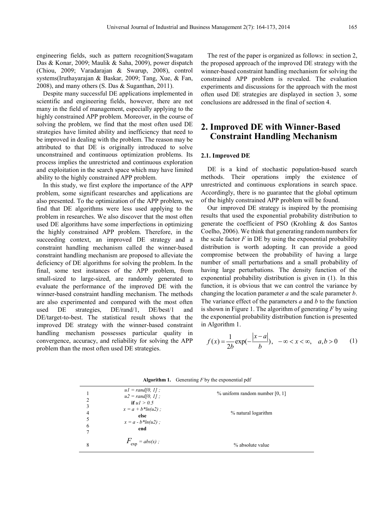engineering fields, such as pattern recognition(Swagatam Das & Konar, 2009; Maulik & Saha, 2009), power dispatch (Chiou, 2009; Varadarajan & Swarup, 2008), control systems(Iruthayarajan & Baskar, 2009; Tang, Xue, & Fan, 2008), and many others (S. Das & Suganthan, 2011).

Despite many successful DE applications implemented in scientific and engineering fields, however, there are not many in the field of management, especially applying to the highly constrained APP problem. Moreover, in the course of solving the problem, we find that the most often used DE strategies have limited ability and inefficiency that need to be improved in dealing with the problem. The reason may be attributed to that DE is originally introduced to solve unconstrained and continuous optimization problems. Its process implies the unrestricted and continuous exploration and exploitation in the search space which may have limited ability to the highly constrained APP problem.

In this study, we first explore the importance of the APP problem, some significant researches and applications are also presented. To the optimization of the APP problem, we find that DE algorithms were less used applying to the problem in researches. We also discover that the most often used DE algorithms have some imperfections in optimizing the highly constrained APP problem. Therefore, in the succeeding context, an improved DE strategy and a constraint handling mechanism called the winner-based constraint handling mechanism are proposed to alleviate the deficiency of DE algorithms for solving the problem. In the final, some test instances of the APP problem, from small-sized to large-sized, are randomly generated to evaluate the performance of the improved DE with the winner-based constraint handling mechanism. The methods are also experimented and compared with the most often used DE strategies, DE/rand/1, DE/best/1 and DE/target-to-best. The statistical result shows that the improved DE strategy with the winner-based constraint handling mechanism possesses particular quality in convergence, accuracy, and reliability for solving the APP problem than the most often used DE strategies.

The rest of the paper is organized as follows: in section 2, the proposed approach of the improved DE strategy with the winner-based constraint handling mechanism for solving the constrained APP problem is revealed. The evaluation experiments and discussions for the approach with the most often used DE strategies are displayed in section 3, some conclusions are addressed in the final of section 4.

# **2. Improved DE with Winner-Based Constraint Handling Mechanism**

## **2.1. Improved DE**

DE is a kind of stochastic population-based search methods. Their operations imply the existence of unrestricted and continuous explorations in search space. Accordingly, there is no guarantee that the global optimum of the highly constrained APP problem will be found.

Our improved DE strategy is inspired by the promising results that used the exponential probability distribution to generate the coefficient of PSO (Krohling & dos Santos Coelho, 2006). We think that generating random numbers for the scale factor  $F$  in DE by using the exponential probability distribution is worth adopting. It can provide a good compromise between the probability of having a large number of small perturbations and a small probability of having large perturbations. The density function of the exponential probability distribution is given in (1). In this function, it is obvious that we can control the variance by changing the location parameter *a* and the scale parameter *b*. The variance effect of the parameters *a* and *b* to the function is shown in Figure 1. The algorithm of generating *F* by using the exponential probability distribution function is presented in Algorithm 1.

$$
f(x) = \frac{1}{2b} \exp(-\frac{|x-a|}{b}), \quad -\infty < x < \infty, \quad a, b > 0 \tag{1}
$$

| ◠      | $ul = rand[0, 1]$ ;<br>$u2 = rand[0, 1]$ ;                                      | $%$ uniform random number [0, 1] |
|--------|---------------------------------------------------------------------------------|----------------------------------|
| 4<br>6 | if $uI > 0.5$<br>$x = a + b^*ln(u2)$ ;<br>else<br>$x = a - b^* ln(u2)$ ;<br>end | % natural logarithm              |
| 8      | $F_{\rm exp}$ = abs(x) ;                                                        | % absolute value                 |

**Algorithm 1.** Generating *F* by the exponential pdf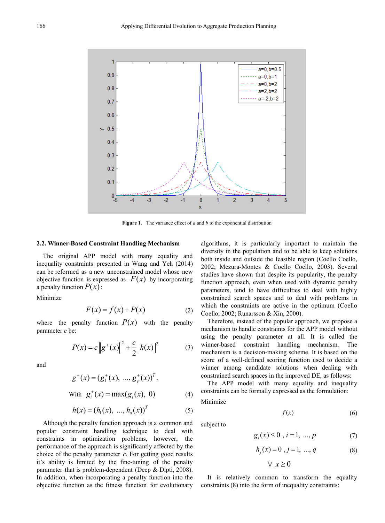

**Figure 1**. The variance effect of *a* and *b* to the exponential distribution

## **2.2. Winner-Based Constraint Handling Mechanism**

The original APP model with many equality and inequality constraints presented in Wang and Yeh (2014) can be reformed as a new unconstrained model whose new objective function is expressed as  $F(x)$  by incorporating a penalty function  $P(x)$ :

Minimize

$$
F(x) = f(x) + P(x) \tag{2}
$$

where the penalty function  $P(x)$  with the penalty parameter *c* be:

$$
P(x) = c \|g^{+}(x)\|^{2} + \frac{c}{2} \|h(x)\|^{2}
$$
 (3)

and

$$
g^+(x) = (g_1^+(x), ..., g_p^+(x))^T,
$$

With 
$$
g_i^+(x) = \max(g_i(x), 0)
$$
 (4)

$$
h(x) = (h_1(x), ..., h_q(x))^T
$$
 (5)

Although the penalty function approach is a common and popular constraint handling technique to deal with constraints in optimization problems, however, the performance of the approach is significantly affected by the choice of the penalty parameter *c*. For getting good results it's ability is limited by the fine-tuning of the penalty parameter that is problem-dependent (Deep & Dipti, 2008). In addition, when incorporating a penalty function into the objective function as the fitness function for evolutionary

algorithms, it is particularly important to maintain the diversity in the population and to be able to keep solutions both inside and outside the feasible region (Coello Coello, 2002; Mezura-Montes & Coello Coello, 2003). Several studies have shown that despite its popularity, the penalty function approach, even when used with dynamic penalty parameters, tend to have difficulties to deal with highly constrained search spaces and to deal with problems in which the constraints are active in the optimum (Coello Coello, 2002; Runarsson & Xin, 2000).

Therefore, instead of the popular approach, we propose a mechanism to handle constraints for the APP model without using the penalty parameter at all. It is called the winner-based constraint handling mechanism. The mechanism is a decision-making scheme. It is based on the score of a well-defined scoring function used to decide a winner among candidate solutions when dealing with constrained search spaces in the improved DE, as follows:

The APP model with many equality and inequality constraints can be formally expressed as the formulation: Minimize

subject to

$$
g_i(x) \le 0, \, i = 1, \, ..., \, p \tag{7}
$$

 $f(x)$  (6)

$$
h_j(x) = 0, j = 1, ..., q
$$
 (8)

$$
\forall x \geq 0
$$

It is relatively common to transform the equality constraints (8) into the form of inequality constraints: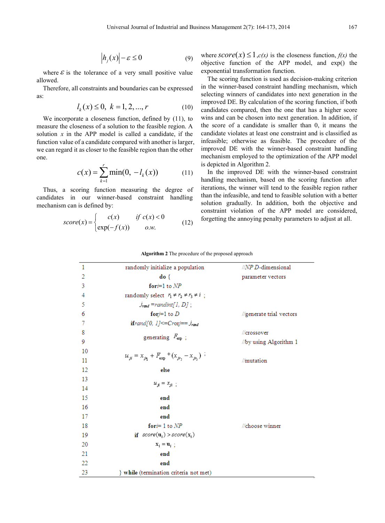where  $\varepsilon$  is the tolerance of a very small positive value allowed.

Therefore, all constraints and boundaries can be expressed as:

$$
l_k(x) \le 0, \ k = 1, 2, ..., r \tag{10}
$$

We incorporate a closeness function, defined by (11), to measure the closeness of a solution to the feasible region. A solution  $x$  in the APP model is called a candidate, if the function value of a candidate compared with another is larger, we can regard it as closer to the feasible region than the other one.

$$
c(x) = \sum_{k=1}^{r} \min(0, -l_k(x))
$$
 (11)

Thus, a scoring function measuring the degree of candidates in our winner-based constraint handling mechanism can is defined by:

$$
score(x) = \begin{cases} c(x) & \text{if } c(x) < 0\\ exp(-f(x)) & \text{o.w.} \end{cases}
$$
(12)

where  $score(x) \leq 1$ ,  $c(x)$  is the closeness function,  $f(x)$  the objective function of the APP model, and exp() the exponential transformation function.

The scoring function is used as decision-making criterion in the winner-based constraint handling mechanism, which selecting winners of candidates into next generation in the improved DE. By calculation of the scoring function, if both candidates compared, then the one that has a higher score wins and can be chosen into next generation. In addition, if the score of a candidate is smaller than 0, it means the candidate violates at least one constraint and is classified as infeasible; otherwise as feasible. The procedure of the improved DE with the winner-based constraint handling mechanism employed to the optimization of the APP model is depicted in Algorithm 2.

In the improved DE with the winner-based constraint handling mechanism, based on the scoring function after iterations, the winner will tend to the feasible region rather than the infeasible, and tend to feasible solution with a better solution gradually. In addition, both the objective and constraint violation of the APP model are considered, forgetting the annoying penalty parameters to adjust at all.

#### **Algorithm 2** The procedure of the proposed approach

| 1  | randomly initialize a population                 | //NP D-dimensional       |
|----|--------------------------------------------------|--------------------------|
| 2  | $do { }$                                         | parameter vectors        |
| 3  | for $i=1$ to $NP$                                |                          |
| 4  | randomly select $r_1 \neq r_2 \neq r_3 \neq i$ ; |                          |
| 5  | $j_{rand}$ = randint[1, D];                      |                          |
| 6  | for $j=1$ to D                                   | //generate trial vectors |
| 7  | $ifrand[0, 1] \leq Cror = j_{rand}$              |                          |
| 8  | generating $F_{\text{exp}}$ ;                    | //crossover              |
| 9  |                                                  | //by using Algorithm 1   |
| 10 |                                                  |                          |
| 11 | $u_{ji} = x_{ji} + F_{exp} * (x_{ji} - x_{ji})$  | //mutation               |
| 12 | else                                             |                          |
| 13 | $u_{ji} = x_{ji}$ :                              |                          |
| 14 |                                                  |                          |
| 15 | end                                              |                          |
| 16 | end                                              |                          |
| 17 | end                                              |                          |
| 18 | for $i=1$ to $NP$                                | //choose winner          |
| 19 | if $score(\mathbf{u}_i) > score(\mathbf{x}_i)$   |                          |
| 20 | $\mathbf{x}_i = \mathbf{u}_{i}$ ;                |                          |
| 21 | end                                              |                          |
| 22 | end                                              |                          |
| 23 | } while (termination criteria not met)           |                          |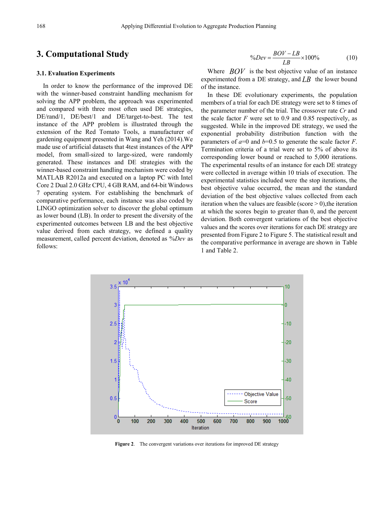## **3. Computational Study**

## **3.1. Evaluation Experiments**

In order to know the performance of the improved DE with the winner-based constraint handling mechanism for solving the APP problem, the approach was experimented and compared with three most often used DE strategies, DE/rand/1, DE/best/1 and DE/target-to-best. The test instance of the APP problem is illustrated through the extension of the Red Tomato Tools, a manufacturer of gardening equipment presented in Wang and Yeh (2014).We made use of artificial datasets that 4test instances of the APP model, from small-sized to large-sized, were randomly generated. These instances and DE strategies with the winner-based constraint handling mechanism were coded by MATLAB R2012a and executed on a laptop PC with Intel Core 2 Dual 2.0 GHz CPU, 4 GB RAM, and 64-bit Windows 7 operating system. For establishing the benchmark of comparative performance, each instance was also coded by LINGO optimization solver to discover the global optimum as lower bound (LB). In order to present the diversity of the experimented outcomes between LB and the best objective value derived from each strategy, we defined a quality measurement, called percent deviation, denoted as %*Dev* as follows:

$$
\%Dev = \frac{BOV - LB}{LB} \times 100\% \tag{10}
$$

Where *BOV* is the best objective value of an instance experimented from a DE strategy, and  $LB$  the lower bound of the instance.

In these DE evolutionary experiments, the population members of a trial for each DE strategy were set to 8 times of the parameter number of the trial. The crossover rate *Cr* and the scale factor *F* were set to 0.9 and 0.85 respectively, as suggested. While in the improved DE strategy, we used the exponential probability distribution function with the parameters of  $a=0$  and  $b=0.5$  to generate the scale factor *F*. Termination criteria of a trial were set to 5% of above its corresponding lower bound or reached to 5,000 iterations. The experimental results of an instance for each DE strategy were collected in average within 10 trials of execution. The experimental statistics included were the stop iterations, the best objective value occurred, the mean and the standard deviation of the best objective values collected from each iteration when the values are feasible (score  $> 0$ ), the iteration at which the scores begin to greater than 0, and the percent deviation. Both convergent variations of the best objective values and the scores over iterations for each DE strategy are presented from Figure 2 to Figure 5. The statistical result and the comparative performance in average are shown in Table 1 and Table 2.



**Figure 2**. The convergent variations over iterations for improved DE strategy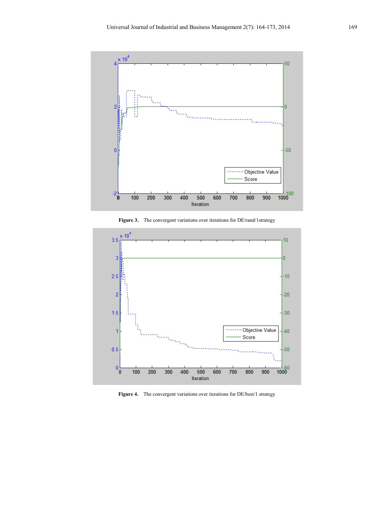

**Figure 3.** The convergent variations over iterations for DE/rand/1strategy



**Figure 4.** The convergent variations over iterations for DE/best/1 strategy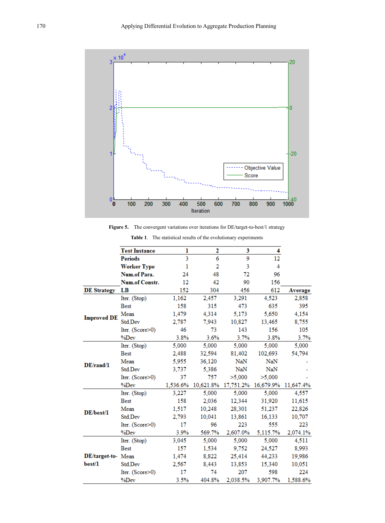

**Figure 5.** The convergent variations over iterations for DE/target-to-best/1 strategy

|                    | <b>Test Instance</b>  | ı        | 2         | 3         | 4              |           |
|--------------------|-----------------------|----------|-----------|-----------|----------------|-----------|
|                    | <b>Periods</b>        | 3        | 6         | 9         | 12             |           |
|                    | <b>Worker Type</b>    | 1        | 2         | 3         | $\overline{4}$ |           |
|                    | Num.of Para.          | 24       | 48        | 72        | 96             |           |
|                    | <b>Num.of Constr.</b> | 12       | 42        | 90        | 156            |           |
| <b>DE Strategy</b> | LB                    | 152      | 304       | 456       | 612            | Average   |
|                    | Iter. (Stop)          | 1,162    | 2,457     | 3,291     | 4,523          | 2,858     |
|                    | <b>Best</b>           | 158      | 315       | 473       | 635            | 395       |
|                    | Mean                  | 1,479    | 4,314     | 5,173     | 5,650          | 4,154     |
| <b>Improved DE</b> | Std.Dev               | 2,787    | 7,943     | 10,827    | 13,465         | 8,755     |
|                    | Iter. (Score>0)       | 46       | 73        | 143       | 156            | 105       |
|                    | %Dev                  | 3.8%     | 3.6%      | 3.7%      | 3.8%           | 3.7%      |
|                    | Iter. (Stop)          | 5,000    | 5,000     | 5,000     | 5,000          | 5,000     |
|                    | <b>Best</b>           | 2,488    | 32,594    | 81,402    | 102,693        | 54,794    |
|                    | Mean                  | 5,955    | 36,120    | NaN       | NaN            |           |
| DE/rand/1          | Std.Dev               | 3.737    | 5.386     | NaN       | NaN            |           |
|                    | Iter. (Score>0)       | 37       | 757       | >5,000    | >5,000         |           |
|                    | %Dev                  | 1,536.6% | 10,621.8% | 17,751.2% | 16,679.9%      | 11,647.4% |
|                    | Iter. (Stop)          | 3,227    | 5,000     | 5,000     | 5,000          | 4,557     |
|                    | <b>Best</b>           | 158      | 2,036     | 12,344    | 31,920         | 11,615    |
|                    | Mean                  | 1,517    | 10,248    | 28,301    | 51,237         | 22,826    |
| DE/best/1          | Std.Dev               | 2.793    | 10,041    | 13,861    | 16,133         | 10,707    |
|                    | Iter. (Score>0)       | 17       | 96        | 223       | 555            | 223       |
|                    | %Dev                  | 3.9%     | 569.7%    | 2.607.0%  | 5,115.7%       | 2,074.1%  |
|                    | Iter. (Stop)          | 3,045    | 5,000     | 5,000     | 5,000          | 4,511     |
|                    | <b>Best</b>           | 157      | 1,534     | 9,752     | 24,527         | 8,993     |
| DE/target-to- Mean |                       | 1,474    | 8,822     | 25,414    | 44,233         | 19.986    |
| best/1             | Std.Dev               | 2,567    | 8,443     | 13,853    | 15,340         | 10,051    |
|                    | Iter. (Score>0)       | 17       | 74        | 207       | 598            | 224       |
|                    | %Dev                  | 3.5%     | 404.8%    | 2,038.5%  | 3,907.7%       | 1,588.6%  |

**Table 1**. The statistical results of the evolutionary experiments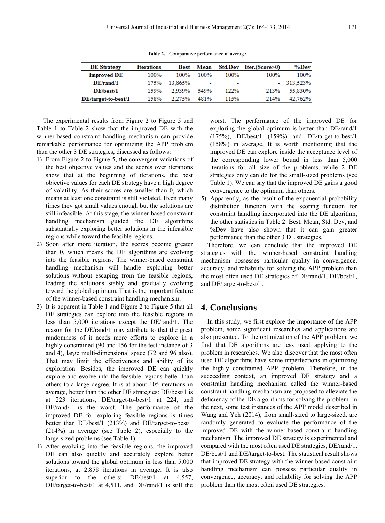| <b>DE Strategy</b>    | <b>Iterations</b> | <b>Best</b> | Mean |                          | Std.Dev Iter.(Score>0) | %Dev         |
|-----------------------|-------------------|-------------|------|--------------------------|------------------------|--------------|
| <b>Improved DE</b>    | 100%              | $100\%$     | 100% | 100%                     | 100%                   | 100%         |
| DE/rand/1             | 175%              | 13.865%     | -    | $\overline{\phantom{a}}$ |                        | $-313.523\%$ |
| DE/best/1             | 159%              | 2.939%      | 549% | 122%                     | 213%                   | 55.830%      |
| $DE/target-to-best/l$ | 158%              | 2.275%      | 481% | 115%                     | 214%                   | 42.762%      |

The experimental results from Figure 2 to Figure 5 and Table 1 to Table 2 show that the improved DE with the winner-based constraint handling mechanism can provide remarkable performance for optimizing the APP problem than the other 3 DE strategies, discussed as follows:

- 1) From Figure 2 to Figure 5, the convergent variations of the best objective values and the scores over iterations show that at the beginning of iterations, the best objective values for each DE strategy have a high degree of volatility. As their scores are smaller than 0, which means at least one constraint is still violated. Even many times they got small values enough but the solutions are still infeasible. At this stage, the winner-based constraint handling mechanism guided the DE algorithms substantially exploring better solutions in the infeasible regions while toward the feasible regions.
- 2) Soon after more iteration, the scores become greater than 0, which means the DE algorithms are evolving into the feasible regions. The winner-based constraint handling mechanism will handle exploiting better solutions without escaping from the feasible regions, leading the solutions stably and gradually evolving toward the global optimum. That is the important feature of the winner-based constraint handling mechanism.
- 3) It is apparent in Table 1 and Figure 2 to Figure 5 that all DE strategies can explore into the feasible regions in less than 5,000 iterations except the DE/rand/1. The reason for the DE/rand/1 may attribute to that the great randomness of it needs more efforts to explore in a highly constrained (90 and 156 for the test instance of 3 and 4), large multi-dimensional space (72 and 96 also). That may limit the effectiveness and ability of its exploration. Besides, the improved DE can quickly explore and evolve into the feasible regions better than others to a large degree. It is at about 105 iterations in average, better than the other DE strategies: DE/best/1 is at 223 iterations, DE/target-to-best/1 at 224, and DE/rand/1 is the worst. The performance of the improved DE for exploring feasible regions is times better than DE/best/1 (213%) and DE/target-to-best/1 (214%) in average (see Table 2), especially to the large-sized problems (see Table 1).
- 4) After evolving into the feasible regions, the improved DE can also quickly and accurately explore better solutions toward the global optimum in less than 5,000 iterations, at 2,858 iterations in average. It is also superior to the others: DE/best/1 at 4,557, DE/target-to-best/1 at 4,511, and DE/rand/1 is still the

worst. The performance of the improved DE for exploring the global optimum is better than DE/rand/1 (175%), DE/best/1 (159%) and DE/target-to-best/1 (158%) in average. It is worth mentioning that the improved DE can explore inside the acceptance level of the corresponding lower bound in less than 5,000 iterations for all size of the problems, while 2 DE strategies only can do for the small-sized problems (see Table 1). We can say that the improved DE gains a good convergence to the optimum than others.

5) Apparently, as the result of the exponential probability distribution function with the scoring function for constraint handling incorporated into the DE algorithm, the other statistics in Table 2: Best, Mean, Std. Dev, and %Dev have also shown that it can gain greater performance than the other 3 DE strategies.

Therefore, we can conclude that the improved DE strategies with the winner-based constraint handling mechanism possesses particular quality in convergence, accuracy, and reliability for solving the APP problem than the most often used DE strategies of DE/rand/1, DE/best/1, and DE/target-to-best/1.

## **4. Conclusions**

In this study, we first explore the importance of the APP problem, some significant researches and applications are also presented. To the optimization of the APP problem, we find that DE algorithms are less used applying to the problem in researches. We also discover that the most often used DE algorithms have some imperfections in optimizing the highly constrained APP problem. Therefore, in the succeeding context, an improved DE strategy and a constraint handling mechanism called the winner-based constraint handling mechanism are proposed to alleviate the deficiency of the DE algorithms for solving the problem. In the next, some test instances of the APP model described in Wang and Yeh (2014), from small-sized to large-sized, are randomly generated to evaluate the performance of the improved DE with the winner-based constraint handling mechanism. The improved DE strategy is experimented and compared with the most often used DE strategies, DE/rand/1, DE/best/1 and DE/target-to-best. The statistical result shows that improved DE strategy with the winner-based constraint handling mechanism can possess particular quality in convergence, accuracy, and reliability for solving the APP problem than the most often used DE strategies.